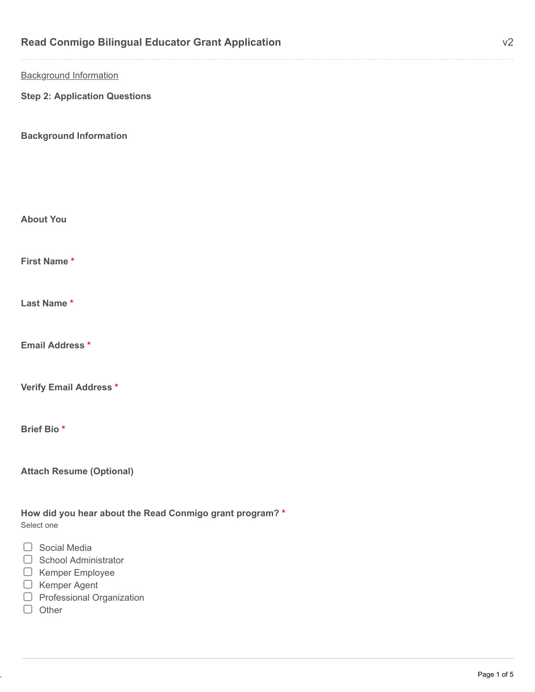| <b>Read Conmigo Bilingual Educator Grant Application</b>               | V <sub>2</sub> |
|------------------------------------------------------------------------|----------------|
| <b>Background Information</b>                                          |                |
| <b>Step 2: Application Questions</b>                                   |                |
| <b>Background Information</b>                                          |                |
|                                                                        |                |
|                                                                        |                |
| <b>About You</b>                                                       |                |
| First Name*                                                            |                |
| Last Name*                                                             |                |
| <b>Email Address *</b>                                                 |                |
| Verify Email Address *                                                 |                |
| Brief Bio*                                                             |                |
| <b>Attach Resume (Optional)</b>                                        |                |
| How did you hear about the Read Conmigo grant program? *<br>Select one |                |
| $\Box$ Social Media<br>School Administrator<br>$\Box$                  |                |

- Kemper Employee
- Kemper Agent
- Professional Organization
- $\Box$  Other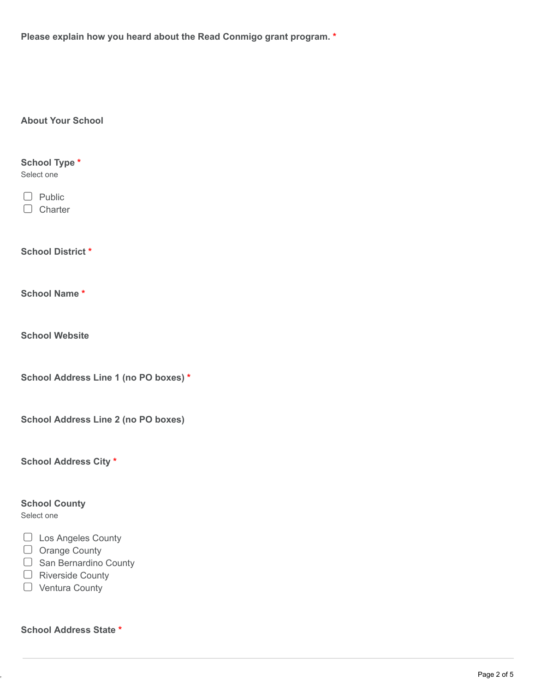**Please explain how you heard about the Read Conmigo grant program. \***

## **About Your School**

**School District \***  $\Box$  Charter  $\Box$  Public Select one **School Type \***

**School Name \***

**School Website**

**School Address Line 1 (no PO boxes) \***

**School Address Line 2 (no PO boxes)**

**School Address City \***

## **School County**

Select one

- □ Los Angeles County
- O Orange County
- $\Box$  San Bernardino County
- □ Riverside County
- O Ventura County

**School Address State \***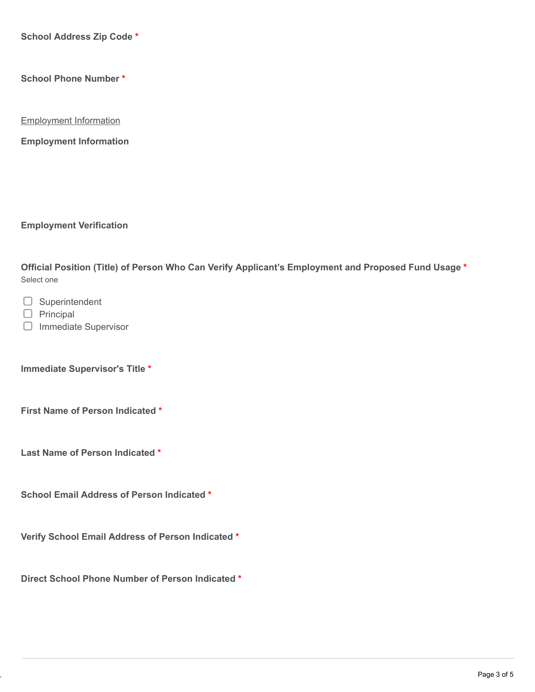**School Address Zip Code \***

**School Phone Number \***

Employment Information

**Employment Information**

**Employment Verification**

Select one **Official Position (Title) of Person Who Can Verify Applicant's Employment and Proposed Fund Usage \***

 $\Box$  Superintendent

 $\Box$  Principal

 $\Box$  Immediate Supervisor

**Immediate Supervisor's Title \***

**First Name of Person Indicated \***

**Last Name of Person Indicated \***

**School Email Address of Person Indicated \***

**Verify School Email Address of Person Indicated \***

**Direct School Phone Number of Person Indicated \***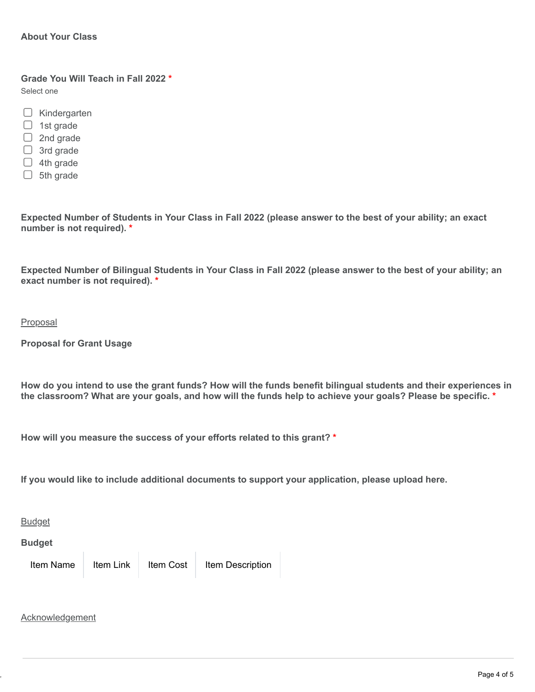**Grade You Will Teach in Fall 2022 \*** Select one

- $\Box$  Kindergarten
- $\Box$  1st grade
- $\Box$  2nd grade
- $\Box$  3rd grade
- $\Box$  4th grade
- $\Box$  5th grade

**Expected Number of Students in Your Class in Fall 2022 (please answer to the best of your ability; an exact number is not required). \***

**Expected Number of Bilingual Students in Your Class in Fall 2022 (please answer to the best of your ability; an exact number is not required). \***

Proposal

**Proposal for Grant Usage**

**How do you intend to use the grant funds? How will the funds benefit bilingual students and their experiences in the classroom? What are your goals, and how will the funds help to achieve your goals? Please be specific. \***

**How will you measure the success of your efforts related to this grant? \***

**If you would like to include additional documents to support your application, please upload here.**

**Budget** 

**Budget**

Item Name Item Link Item Cost Item Description

Acknowledgement